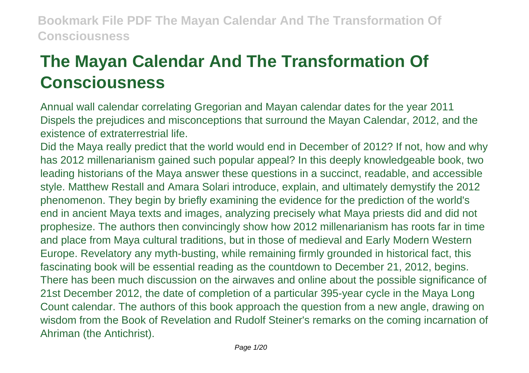# **The Mayan Calendar And The Transformation Of Consciousness**

Annual wall calendar correlating Gregorian and Mayan calendar dates for the year 2011 Dispels the prejudices and misconceptions that surround the Mayan Calendar, 2012, and the existence of extraterrestrial life.

Did the Maya really predict that the world would end in December of 2012? If not, how and why has 2012 millenarianism gained such popular appeal? In this deeply knowledgeable book, two leading historians of the Maya answer these questions in a succinct, readable, and accessible style. Matthew Restall and Amara Solari introduce, explain, and ultimately demystify the 2012 phenomenon. They begin by briefly examining the evidence for the prediction of the world's end in ancient Maya texts and images, analyzing precisely what Maya priests did and did not prophesize. The authors then convincingly show how 2012 millenarianism has roots far in time and place from Maya cultural traditions, but in those of medieval and Early Modern Western Europe. Revelatory any myth-busting, while remaining firmly grounded in historical fact, this fascinating book will be essential reading as the countdown to December 21, 2012, begins. There has been much discussion on the airwaves and online about the possible significance of 21st December 2012, the date of completion of a particular 395-year cycle in the Maya Long Count calendar. The authors of this book approach the question from a new angle, drawing on wisdom from the Book of Revelation and Rudolf Steiner's remarks on the coming incarnation of Ahriman (the Antichrist).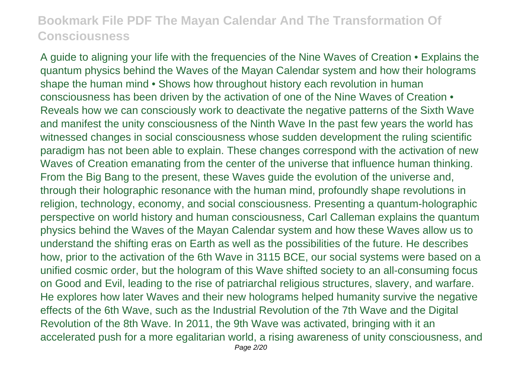A guide to aligning your life with the frequencies of the Nine Waves of Creation • Explains the quantum physics behind the Waves of the Mayan Calendar system and how their holograms shape the human mind • Shows how throughout history each revolution in human consciousness has been driven by the activation of one of the Nine Waves of Creation • Reveals how we can consciously work to deactivate the negative patterns of the Sixth Wave and manifest the unity consciousness of the Ninth Wave In the past few years the world has witnessed changes in social consciousness whose sudden development the ruling scientific paradigm has not been able to explain. These changes correspond with the activation of new Waves of Creation emanating from the center of the universe that influence human thinking. From the Big Bang to the present, these Waves guide the evolution of the universe and, through their holographic resonance with the human mind, profoundly shape revolutions in religion, technology, economy, and social consciousness. Presenting a quantum-holographic perspective on world history and human consciousness, Carl Calleman explains the quantum physics behind the Waves of the Mayan Calendar system and how these Waves allow us to understand the shifting eras on Earth as well as the possibilities of the future. He describes how, prior to the activation of the 6th Wave in 3115 BCE, our social systems were based on a unified cosmic order, but the hologram of this Wave shifted society to an all-consuming focus on Good and Evil, leading to the rise of patriarchal religious structures, slavery, and warfare. He explores how later Waves and their new holograms helped humanity survive the negative effects of the 6th Wave, such as the Industrial Revolution of the 7th Wave and the Digital Revolution of the 8th Wave. In 2011, the 9th Wave was activated, bringing with it an accelerated push for a more egalitarian world, a rising awareness of unity consciousness, and Page 2/20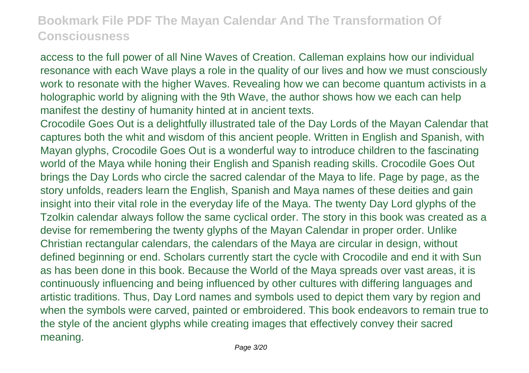access to the full power of all Nine Waves of Creation. Calleman explains how our individual resonance with each Wave plays a role in the quality of our lives and how we must consciously work to resonate with the higher Waves. Revealing how we can become quantum activists in a holographic world by aligning with the 9th Wave, the author shows how we each can help manifest the destiny of humanity hinted at in ancient texts.

Crocodile Goes Out is a delightfully illustrated tale of the Day Lords of the Mayan Calendar that captures both the whit and wisdom of this ancient people. Written in English and Spanish, with Mayan glyphs, Crocodile Goes Out is a wonderful way to introduce children to the fascinating world of the Maya while honing their English and Spanish reading skills. Crocodile Goes Out brings the Day Lords who circle the sacred calendar of the Maya to life. Page by page, as the story unfolds, readers learn the English, Spanish and Maya names of these deities and gain insight into their vital role in the everyday life of the Maya. The twenty Day Lord glyphs of the Tzolkin calendar always follow the same cyclical order. The story in this book was created as a devise for remembering the twenty glyphs of the Mayan Calendar in proper order. Unlike Christian rectangular calendars, the calendars of the Maya are circular in design, without defined beginning or end. Scholars currently start the cycle with Crocodile and end it with Sun as has been done in this book. Because the World of the Maya spreads over vast areas, it is continuously influencing and being influenced by other cultures with differing languages and artistic traditions. Thus, Day Lord names and symbols used to depict them vary by region and when the symbols were carved, painted or embroidered. This book endeavors to remain true to the style of the ancient glyphs while creating images that effectively convey their sacred meaning.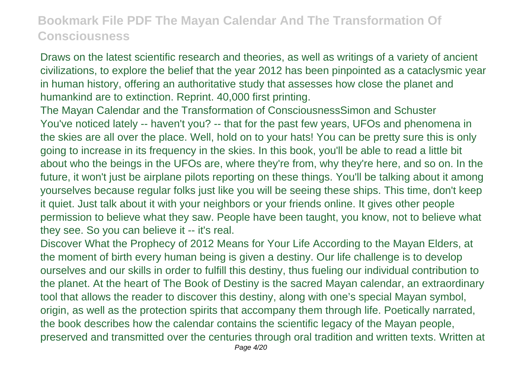Draws on the latest scientific research and theories, as well as writings of a variety of ancient civilizations, to explore the belief that the year 2012 has been pinpointed as a cataclysmic year in human history, offering an authoritative study that assesses how close the planet and humankind are to extinction. Reprint. 40,000 first printing.

The Mayan Calendar and the Transformation of ConsciousnessSimon and Schuster You've noticed lately -- haven't you? -- that for the past few years, UFOs and phenomena in the skies are all over the place. Well, hold on to your hats! You can be pretty sure this is only going to increase in its frequency in the skies. In this book, you'll be able to read a little bit about who the beings in the UFOs are, where they're from, why they're here, and so on. In the future, it won't just be airplane pilots reporting on these things. You'll be talking about it among yourselves because regular folks just like you will be seeing these ships. This time, don't keep it quiet. Just talk about it with your neighbors or your friends online. It gives other people permission to believe what they saw. People have been taught, you know, not to believe what they see. So you can believe it -- it's real.

Discover What the Prophecy of 2012 Means for Your Life According to the Mayan Elders, at the moment of birth every human being is given a destiny. Our life challenge is to develop ourselves and our skills in order to fulfill this destiny, thus fueling our individual contribution to the planet. At the heart of The Book of Destiny is the sacred Mayan calendar, an extraordinary tool that allows the reader to discover this destiny, along with one's special Mayan symbol, origin, as well as the protection spirits that accompany them through life. Poetically narrated, the book describes how the calendar contains the scientific legacy of the Mayan people, preserved and transmitted over the centuries through oral tradition and written texts. Written at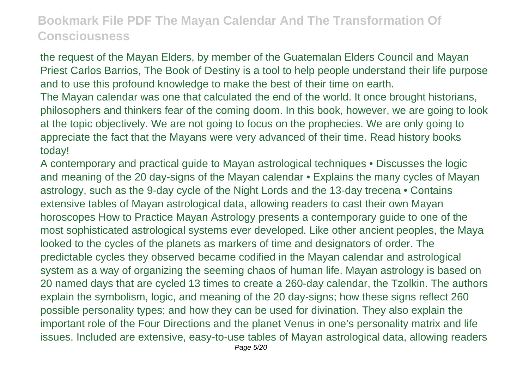the request of the Mayan Elders, by member of the Guatemalan Elders Council and Mayan Priest Carlos Barrios, The Book of Destiny is a tool to help people understand their life purpose and to use this profound knowledge to make the best of their time on earth.

The Mayan calendar was one that calculated the end of the world. It once brought historians, philosophers and thinkers fear of the coming doom. In this book, however, we are going to look at the topic objectively. We are not going to focus on the prophecies. We are only going to appreciate the fact that the Mayans were very advanced of their time. Read history books today!

A contemporary and practical guide to Mayan astrological techniques • Discusses the logic and meaning of the 20 day-signs of the Mayan calendar • Explains the many cycles of Mayan astrology, such as the 9-day cycle of the Night Lords and the 13-day trecena • Contains extensive tables of Mayan astrological data, allowing readers to cast their own Mayan horoscopes How to Practice Mayan Astrology presents a contemporary guide to one of the most sophisticated astrological systems ever developed. Like other ancient peoples, the Maya looked to the cycles of the planets as markers of time and designators of order. The predictable cycles they observed became codified in the Mayan calendar and astrological system as a way of organizing the seeming chaos of human life. Mayan astrology is based on 20 named days that are cycled 13 times to create a 260-day calendar, the Tzolkin. The authors explain the symbolism, logic, and meaning of the 20 day-signs; how these signs reflect 260 possible personality types; and how they can be used for divination. They also explain the important role of the Four Directions and the planet Venus in one's personality matrix and life issues. Included are extensive, easy-to-use tables of Mayan astrological data, allowing readers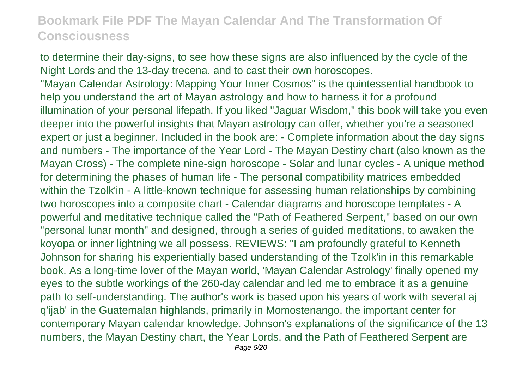to determine their day-signs, to see how these signs are also influenced by the cycle of the Night Lords and the 13-day trecena, and to cast their own horoscopes. "Mayan Calendar Astrology: Mapping Your Inner Cosmos" is the quintessential handbook to help you understand the art of Mayan astrology and how to harness it for a profound illumination of your personal lifepath. If you liked "Jaguar Wisdom," this book will take you even deeper into the powerful insights that Mayan astrology can offer, whether you're a seasoned expert or just a beginner. Included in the book are: - Complete information about the day signs and numbers - The importance of the Year Lord - The Mayan Destiny chart (also known as the Mayan Cross) - The complete nine-sign horoscope - Solar and lunar cycles - A unique method for determining the phases of human life - The personal compatibility matrices embedded within the Tzolk'in - A little-known technique for assessing human relationships by combining two horoscopes into a composite chart - Calendar diagrams and horoscope templates - A powerful and meditative technique called the "Path of Feathered Serpent," based on our own "personal lunar month" and designed, through a series of guided meditations, to awaken the koyopa or inner lightning we all possess. REVIEWS: "I am profoundly grateful to Kenneth Johnson for sharing his experientially based understanding of the Tzolk'in in this remarkable book. As a long-time lover of the Mayan world, 'Mayan Calendar Astrology' finally opened my eyes to the subtle workings of the 260-day calendar and led me to embrace it as a genuine path to self-understanding. The author's work is based upon his years of work with several aj q'ijab' in the Guatemalan highlands, primarily in Momostenango, the important center for contemporary Mayan calendar knowledge. Johnson's explanations of the significance of the 13 numbers, the Mayan Destiny chart, the Year Lords, and the Path of Feathered Serpent are Page 6/20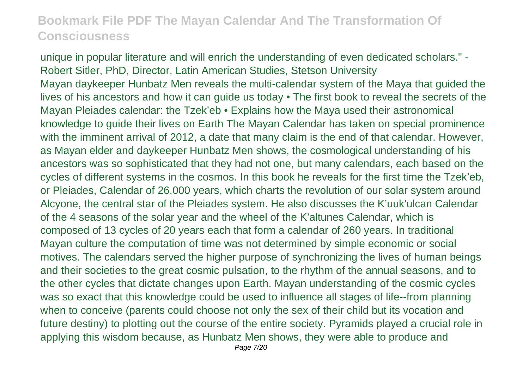unique in popular literature and will enrich the understanding of even dedicated scholars." - Robert Sitler, PhD, Director, Latin American Studies, Stetson University Mayan daykeeper Hunbatz Men reveals the multi-calendar system of the Maya that guided the lives of his ancestors and how it can guide us today • The first book to reveal the secrets of the Mayan Pleiades calendar: the Tzek'eb • Explains how the Maya used their astronomical knowledge to guide their lives on Earth The Mayan Calendar has taken on special prominence with the imminent arrival of 2012, a date that many claim is the end of that calendar. However, as Mayan elder and daykeeper Hunbatz Men shows, the cosmological understanding of his ancestors was so sophisticated that they had not one, but many calendars, each based on the cycles of different systems in the cosmos. In this book he reveals for the first time the Tzek'eb, or Pleiades, Calendar of 26,000 years, which charts the revolution of our solar system around Alcyone, the central star of the Pleiades system. He also discusses the K'uuk'ulcan Calendar of the 4 seasons of the solar year and the wheel of the K'altunes Calendar, which is composed of 13 cycles of 20 years each that form a calendar of 260 years. In traditional Mayan culture the computation of time was not determined by simple economic or social motives. The calendars served the higher purpose of synchronizing the lives of human beings and their societies to the great cosmic pulsation, to the rhythm of the annual seasons, and to the other cycles that dictate changes upon Earth. Mayan understanding of the cosmic cycles was so exact that this knowledge could be used to influence all stages of life--from planning when to conceive (parents could choose not only the sex of their child but its vocation and future destiny) to plotting out the course of the entire society. Pyramids played a crucial role in applying this wisdom because, as Hunbatz Men shows, they were able to produce and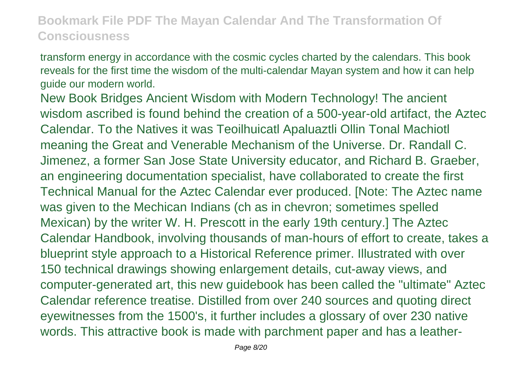transform energy in accordance with the cosmic cycles charted by the calendars. This book reveals for the first time the wisdom of the multi-calendar Mayan system and how it can help guide our modern world.

New Book Bridges Ancient Wisdom with Modern Technology! The ancient wisdom ascribed is found behind the creation of a 500-year-old artifact, the Aztec Calendar. To the Natives it was Teoilhuicatl Apaluaztli Ollin Tonal Machiotl meaning the Great and Venerable Mechanism of the Universe. Dr. Randall C. Jimenez, a former San Jose State University educator, and Richard B. Graeber, an engineering documentation specialist, have collaborated to create the first Technical Manual for the Aztec Calendar ever produced. [Note: The Aztec name was given to the Mechican Indians (ch as in chevron; sometimes spelled Mexican) by the writer W. H. Prescott in the early 19th century.] The Aztec Calendar Handbook, involving thousands of man-hours of effort to create, takes a blueprint style approach to a Historical Reference primer. Illustrated with over 150 technical drawings showing enlargement details, cut-away views, and computer-generated art, this new guidebook has been called the "ultimate" Aztec Calendar reference treatise. Distilled from over 240 sources and quoting direct eyewitnesses from the 1500's, it further includes a glossary of over 230 native words. This attractive book is made with parchment paper and has a leather-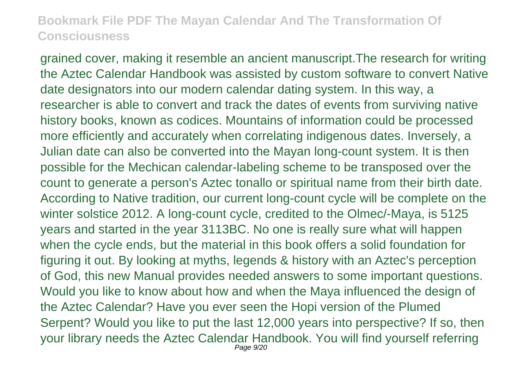grained cover, making it resemble an ancient manuscript.The research for writing the Aztec Calendar Handbook was assisted by custom software to convert Native date designators into our modern calendar dating system. In this way, a researcher is able to convert and track the dates of events from surviving native history books, known as codices. Mountains of information could be processed more efficiently and accurately when correlating indigenous dates. Inversely, a Julian date can also be converted into the Mayan long-count system. It is then possible for the Mechican calendar-labeling scheme to be transposed over the count to generate a person's Aztec tonallo or spiritual name from their birth date. According to Native tradition, our current long-count cycle will be complete on the winter solstice 2012. A long-count cycle, credited to the Olmec/-Maya, is 5125 years and started in the year 3113BC. No one is really sure what will happen when the cycle ends, but the material in this book offers a solid foundation for figuring it out. By looking at myths, legends & history with an Aztec's perception of God, this new Manual provides needed answers to some important questions. Would you like to know about how and when the Maya influenced the design of the Aztec Calendar? Have you ever seen the Hopi version of the Plumed Serpent? Would you like to put the last 12,000 years into perspective? If so, then your library needs the Aztec Calendar Handbook. You will find yourself referring Page 9/20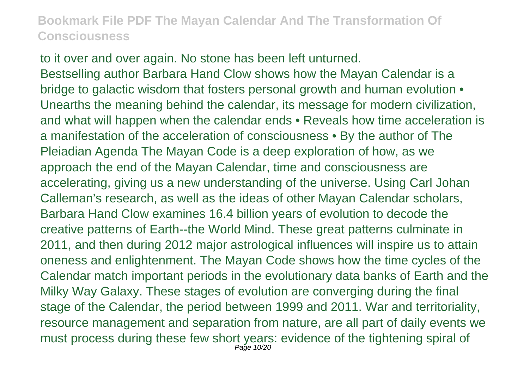to it over and over again. No stone has been left unturned. Bestselling author Barbara Hand Clow shows how the Mayan Calendar is a bridge to galactic wisdom that fosters personal growth and human evolution  $\bullet$ Unearths the meaning behind the calendar, its message for modern civilization, and what will happen when the calendar ends • Reveals how time acceleration is a manifestation of the acceleration of consciousness • By the author of The Pleiadian Agenda The Mayan Code is a deep exploration of how, as we approach the end of the Mayan Calendar, time and consciousness are accelerating, giving us a new understanding of the universe. Using Carl Johan Calleman's research, as well as the ideas of other Mayan Calendar scholars, Barbara Hand Clow examines 16.4 billion years of evolution to decode the creative patterns of Earth--the World Mind. These great patterns culminate in 2011, and then during 2012 major astrological influences will inspire us to attain oneness and enlightenment. The Mayan Code shows how the time cycles of the Calendar match important periods in the evolutionary data banks of Earth and the Milky Way Galaxy. These stages of evolution are converging during the final stage of the Calendar, the period between 1999 and 2011. War and territoriality, resource management and separation from nature, are all part of daily events we must process during these few short years: evidence of the tightening spiral of Page 10/20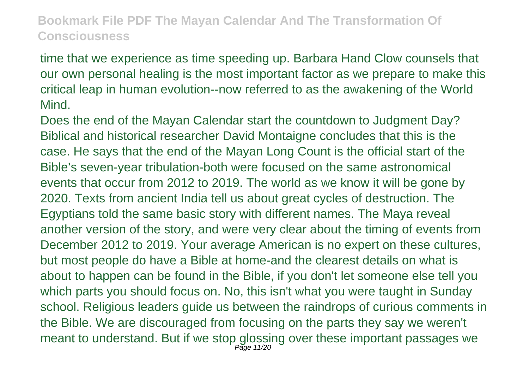time that we experience as time speeding up. Barbara Hand Clow counsels that our own personal healing is the most important factor as we prepare to make this critical leap in human evolution--now referred to as the awakening of the World Mind.

Does the end of the Mayan Calendar start the countdown to Judgment Day? Biblical and historical researcher David Montaigne concludes that this is the case. He says that the end of the Mayan Long Count is the official start of the Bible's seven-year tribulation-both were focused on the same astronomical events that occur from 2012 to 2019. The world as we know it will be gone by 2020. Texts from ancient India tell us about great cycles of destruction. The Egyptians told the same basic story with different names. The Maya reveal another version of the story, and were very clear about the timing of events from December 2012 to 2019. Your average American is no expert on these cultures, but most people do have a Bible at home-and the clearest details on what is about to happen can be found in the Bible, if you don't let someone else tell you which parts you should focus on. No, this isn't what you were taught in Sunday school. Religious leaders guide us between the raindrops of curious comments in the Bible. We are discouraged from focusing on the parts they say we weren't meant to understand. But if we stop glossing over these important passages we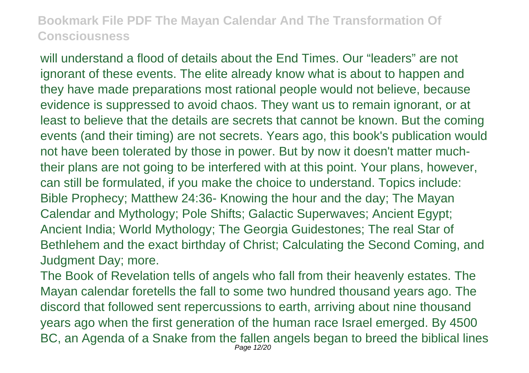will understand a flood of details about the End Times. Our "leaders" are not ignorant of these events. The elite already know what is about to happen and they have made preparations most rational people would not believe, because evidence is suppressed to avoid chaos. They want us to remain ignorant, or at least to believe that the details are secrets that cannot be known. But the coming events (and their timing) are not secrets. Years ago, this book's publication would not have been tolerated by those in power. But by now it doesn't matter muchtheir plans are not going to be interfered with at this point. Your plans, however, can still be formulated, if you make the choice to understand. Topics include: Bible Prophecy; Matthew 24:36- Knowing the hour and the day; The Mayan Calendar and Mythology; Pole Shifts; Galactic Superwaves; Ancient Egypt; Ancient India; World Mythology; The Georgia Guidestones; The real Star of Bethlehem and the exact birthday of Christ; Calculating the Second Coming, and Judgment Day; more.

The Book of Revelation tells of angels who fall from their heavenly estates. The Mayan calendar foretells the fall to some two hundred thousand years ago. The discord that followed sent repercussions to earth, arriving about nine thousand years ago when the first generation of the human race Israel emerged. By 4500 BC, an Agenda of a Snake from the fallen angels began to breed the biblical lines Page 12/20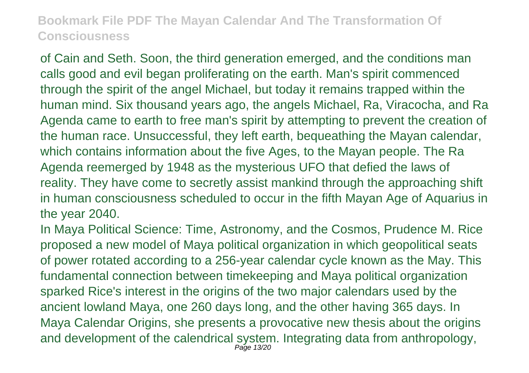of Cain and Seth. Soon, the third generation emerged, and the conditions man calls good and evil began proliferating on the earth. Man's spirit commenced through the spirit of the angel Michael, but today it remains trapped within the human mind. Six thousand years ago, the angels Michael, Ra, Viracocha, and Ra Agenda came to earth to free man's spirit by attempting to prevent the creation of the human race. Unsuccessful, they left earth, bequeathing the Mayan calendar, which contains information about the five Ages, to the Mayan people. The Ra Agenda reemerged by 1948 as the mysterious UFO that defied the laws of reality. They have come to secretly assist mankind through the approaching shift in human consciousness scheduled to occur in the fifth Mayan Age of Aquarius in the year 2040.

In Maya Political Science: Time, Astronomy, and the Cosmos, Prudence M. Rice proposed a new model of Maya political organization in which geopolitical seats of power rotated according to a 256-year calendar cycle known as the May. This fundamental connection between timekeeping and Maya political organization sparked Rice's interest in the origins of the two major calendars used by the ancient lowland Maya, one 260 days long, and the other having 365 days. In Maya Calendar Origins, she presents a provocative new thesis about the origins and development of the calendrical system. Integrating data from anthropology, Page 13/20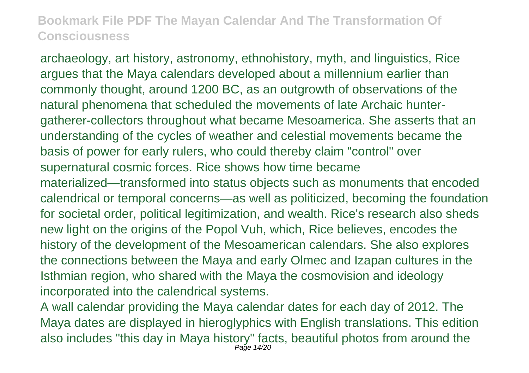archaeology, art history, astronomy, ethnohistory, myth, and linguistics, Rice argues that the Maya calendars developed about a millennium earlier than commonly thought, around 1200 BC, as an outgrowth of observations of the natural phenomena that scheduled the movements of late Archaic huntergatherer-collectors throughout what became Mesoamerica. She asserts that an understanding of the cycles of weather and celestial movements became the basis of power for early rulers, who could thereby claim "control" over supernatural cosmic forces. Rice shows how time became materialized—transformed into status objects such as monuments that encoded calendrical or temporal concerns—as well as politicized, becoming the foundation for societal order, political legitimization, and wealth. Rice's research also sheds new light on the origins of the Popol Vuh, which, Rice believes, encodes the history of the development of the Mesoamerican calendars. She also explores the connections between the Maya and early Olmec and Izapan cultures in the Isthmian region, who shared with the Maya the cosmovision and ideology incorporated into the calendrical systems.

A wall calendar providing the Maya calendar dates for each day of 2012. The Maya dates are displayed in hieroglyphics with English translations. This edition also includes "this day in Maya history" facts, beautiful photos from around the Page 14/20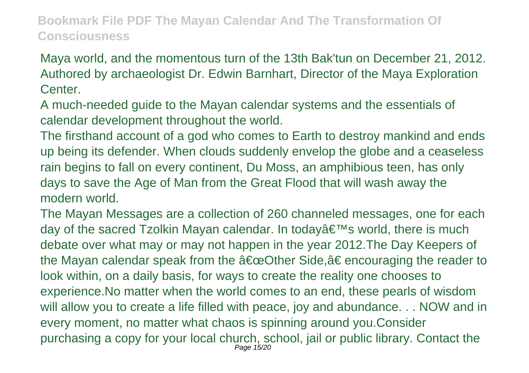Maya world, and the momentous turn of the 13th Bak'tun on December 21, 2012. Authored by archaeologist Dr. Edwin Barnhart, Director of the Maya Exploration Center.

A much-needed guide to the Mayan calendar systems and the essentials of calendar development throughout the world.

The firsthand account of a god who comes to Earth to destroy mankind and ends up being its defender. When clouds suddenly envelop the globe and a ceaseless rain begins to fall on every continent, Du Moss, an amphibious teen, has only days to save the Age of Man from the Great Flood that will wash away the modern world.

The Mayan Messages are a collection of 260 channeled messages, one for each day of the sacred Tzolkin Mayan calendar. In today $\hat{a} \in \mathbb{T}^M$ s world, there is much debate over what may or may not happen in the year 2012.The Day Keepers of the Mayan calendar speak from the  $\hat{a} \in \text{coOther Side}, \hat{a} \in \text{encouraging the reader to}$ look within, on a daily basis, for ways to create the reality one chooses to experience.No matter when the world comes to an end, these pearls of wisdom will allow you to create a life filled with peace, joy and abundance... NOW and in every moment, no matter what chaos is spinning around you.Consider purchasing a copy for your local church, school, jail or public library. Contact the Page 15/20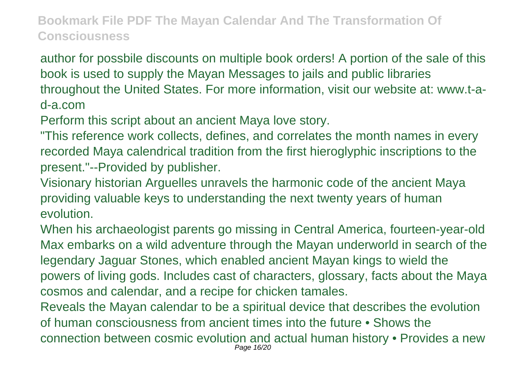author for possbile discounts on multiple book orders! A portion of the sale of this book is used to supply the Mayan Messages to jails and public libraries throughout the United States. For more information, visit our website at: www.t-ad-a.com

Perform this script about an ancient Maya love story.

"This reference work collects, defines, and correlates the month names in every recorded Maya calendrical tradition from the first hieroglyphic inscriptions to the present."--Provided by publisher.

Visionary historian Arguelles unravels the harmonic code of the ancient Maya providing valuable keys to understanding the next twenty years of human evolution.

When his archaeologist parents go missing in Central America, fourteen-year-old Max embarks on a wild adventure through the Mayan underworld in search of the legendary Jaguar Stones, which enabled ancient Mayan kings to wield the powers of living gods. Includes cast of characters, glossary, facts about the Maya cosmos and calendar, and a recipe for chicken tamales.

Reveals the Mayan calendar to be a spiritual device that describes the evolution of human consciousness from ancient times into the future • Shows the connection between cosmic evolution and actual human history • Provides a new Page 16/20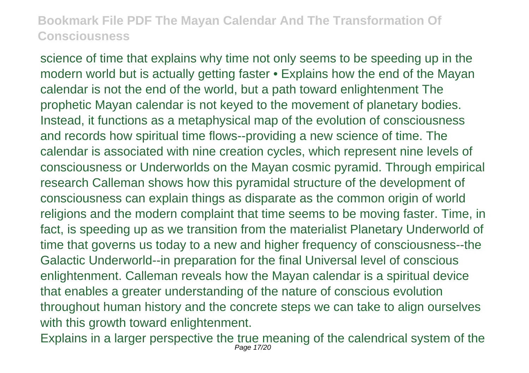science of time that explains why time not only seems to be speeding up in the modern world but is actually getting faster • Explains how the end of the Mayan calendar is not the end of the world, but a path toward enlightenment The prophetic Mayan calendar is not keyed to the movement of planetary bodies. Instead, it functions as a metaphysical map of the evolution of consciousness and records how spiritual time flows--providing a new science of time. The calendar is associated with nine creation cycles, which represent nine levels of consciousness or Underworlds on the Mayan cosmic pyramid. Through empirical research Calleman shows how this pyramidal structure of the development of consciousness can explain things as disparate as the common origin of world religions and the modern complaint that time seems to be moving faster. Time, in fact, is speeding up as we transition from the materialist Planetary Underworld of time that governs us today to a new and higher frequency of consciousness--the Galactic Underworld--in preparation for the final Universal level of conscious enlightenment. Calleman reveals how the Mayan calendar is a spiritual device that enables a greater understanding of the nature of conscious evolution throughout human history and the concrete steps we can take to align ourselves with this growth toward enlightenment.

Explains in a larger perspective the true meaning of the calendrical system of the Page 17/20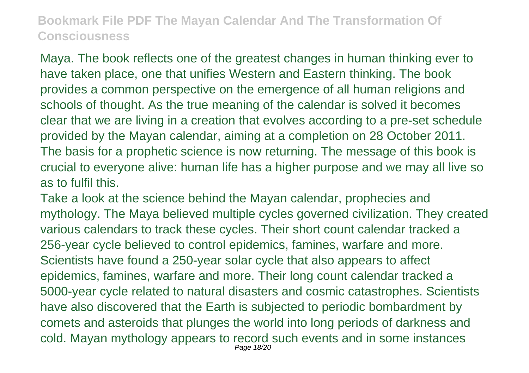Maya. The book reflects one of the greatest changes in human thinking ever to have taken place, one that unifies Western and Eastern thinking. The book provides a common perspective on the emergence of all human religions and schools of thought. As the true meaning of the calendar is solved it becomes clear that we are living in a creation that evolves according to a pre-set schedule provided by the Mayan calendar, aiming at a completion on 28 October 2011. The basis for a prophetic science is now returning. The message of this book is crucial to everyone alive: human life has a higher purpose and we may all live so as to fulfil this.

Take a look at the science behind the Mayan calendar, prophecies and mythology. The Maya believed multiple cycles governed civilization. They created various calendars to track these cycles. Their short count calendar tracked a 256-year cycle believed to control epidemics, famines, warfare and more. Scientists have found a 250-year solar cycle that also appears to affect epidemics, famines, warfare and more. Their long count calendar tracked a 5000-year cycle related to natural disasters and cosmic catastrophes. Scientists have also discovered that the Earth is subjected to periodic bombardment by comets and asteroids that plunges the world into long periods of darkness and cold. Mayan mythology appears to record such events and in some instances Page 18/20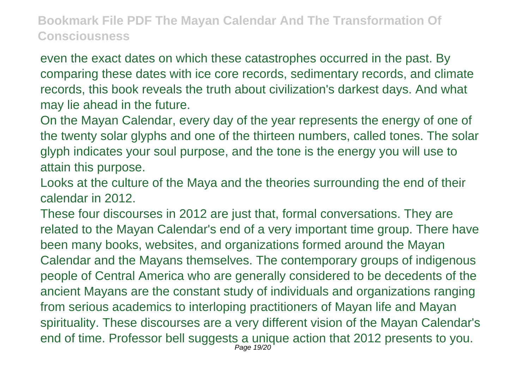even the exact dates on which these catastrophes occurred in the past. By comparing these dates with ice core records, sedimentary records, and climate records, this book reveals the truth about civilization's darkest days. And what may lie ahead in the future.

On the Mayan Calendar, every day of the year represents the energy of one of the twenty solar glyphs and one of the thirteen numbers, called tones. The solar glyph indicates your soul purpose, and the tone is the energy you will use to attain this purpose.

Looks at the culture of the Maya and the theories surrounding the end of their calendar in 2012.

These four discourses in 2012 are just that, formal conversations. They are related to the Mayan Calendar's end of a very important time group. There have been many books, websites, and organizations formed around the Mayan Calendar and the Mayans themselves. The contemporary groups of indigenous people of Central America who are generally considered to be decedents of the ancient Mayans are the constant study of individuals and organizations ranging from serious academics to interloping practitioners of Mayan life and Mayan spirituality. These discourses are a very different vision of the Mayan Calendar's end of time. Professor bell suggests a unique action that 2012 presents to you. Page 19/20